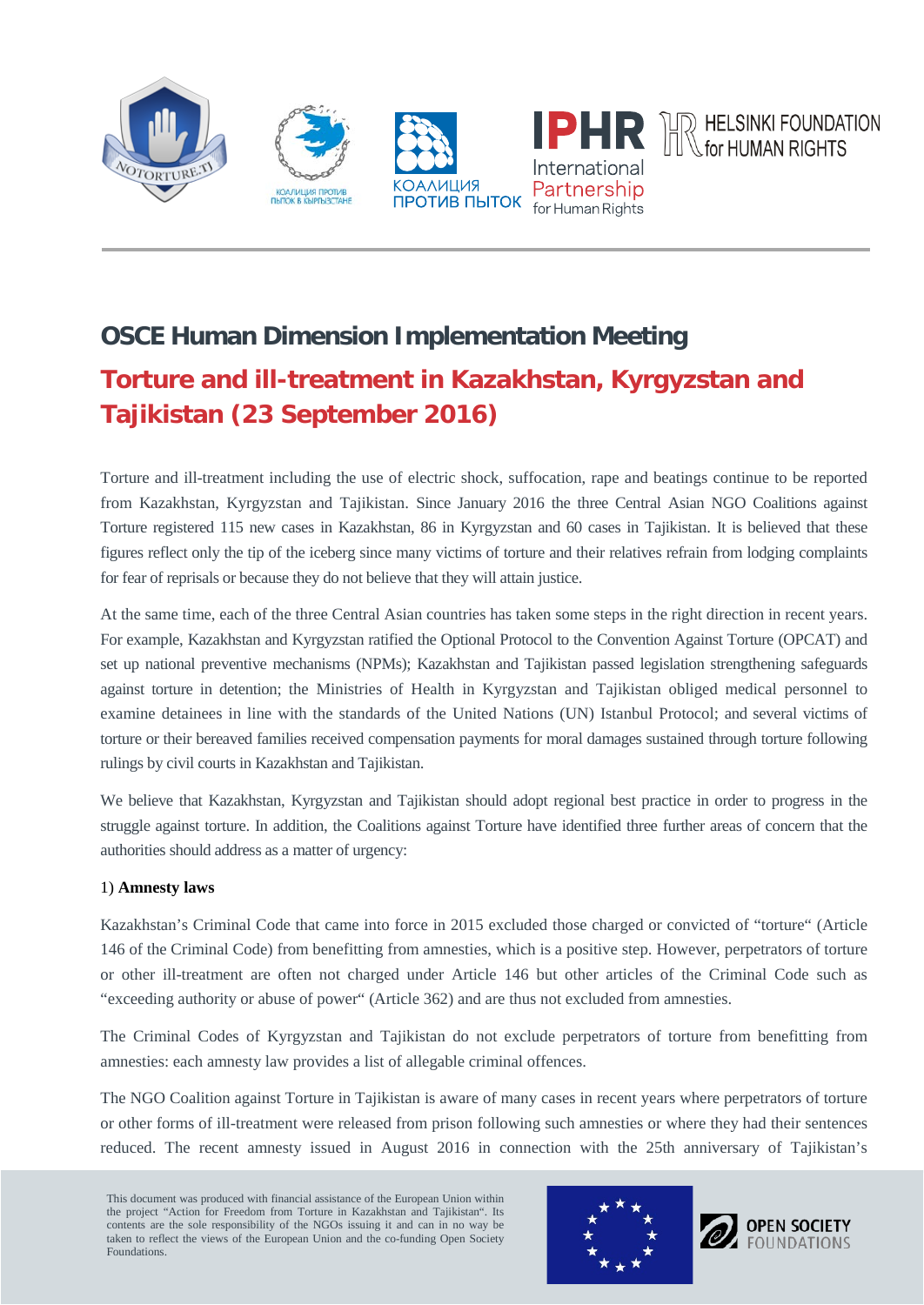

# **OSCE Human Dimension Implementation Meeting Torture and ill-treatment in Kazakhstan, Kyrgyzstan and**

**Tajikistan (23 September 2016)**

Torture and ill-treatment including the use of electric shock, suffocation, rape and beatings continue to be reported from Kazakhstan, Kyrgyzstan and Tajikistan. Since January 2016 the three Central Asian NGO Coalitions against Torture registered 115 new cases in Kazakhstan, 86 in Kyrgyzstan and 60 cases in Tajikistan. It is believed that these figures reflect only the tip of the iceberg since many victims of torture and their relatives refrain from lodging complaints for fear of reprisals or because they do not believe that they will attain justice.

At the same time, each of the three Central Asian countries has taken some steps in the right direction in recent years. For example, Kazakhstan and Kyrgyzstan ratified the Optional Protocol to the Convention Against Torture (OPCAT) and set up national preventive mechanisms (NPMs); Kazakhstan and Tajikistan passed legislation strengthening safeguards against torture in detention; the Ministries of Health in Kyrgyzstan and Tajikistan obliged medical personnel to examine detainees in line with the standards of the United Nations (UN) Istanbul Protocol; and several victims of torture or their bereaved families received compensation payments for moral damages sustained through torture following rulings by civil courts in Kazakhstan and Tajikistan.

We believe that Kazakhstan, Kyrgyzstan and Tajikistan should adopt regional best practice in order to progress in the struggle against torture. In addition, the Coalitions against Torture have identified three further areas of concern that the authorities should address as a matter of urgency:

# 1) **Amnesty laws**

Kazakhstan's Criminal Code that came into force in 2015 excluded those charged or convicted of "torture" (Article 146 of the Criminal Code) from benefitting from amnesties, which is a positive step. However, perpetrators of torture or other ill-treatment are often not charged under Article 146 but other articles of the Criminal Code such as "exceeding authority or abuse of power" (Article 362) and are thus not excluded from amnesties.

The Criminal Codes of Kyrgyzstan and Tajikistan do not exclude perpetrators of torture from benefitting from amnesties: each amnesty law provides a list of allegable criminal offences.

The NGO Coalition against Torture in Tajikistan is aware of many cases in recent years where perpetrators of torture or other forms of ill-treatment were released from prison following such amnesties or where they had their sentences reduced. The recent amnesty issued in August 2016 in connection with the 25th anniversary of Tajikistan's

This document was produced with financial assistance of the European Union within the project "Action for Freedom from Torture in Kazakhstan and Tajikistan". Its contents are the sole responsibility of the NGOs issuing it and can in no way be taken to reflect the views of the European Union and the co-funding Open Society Foundations.



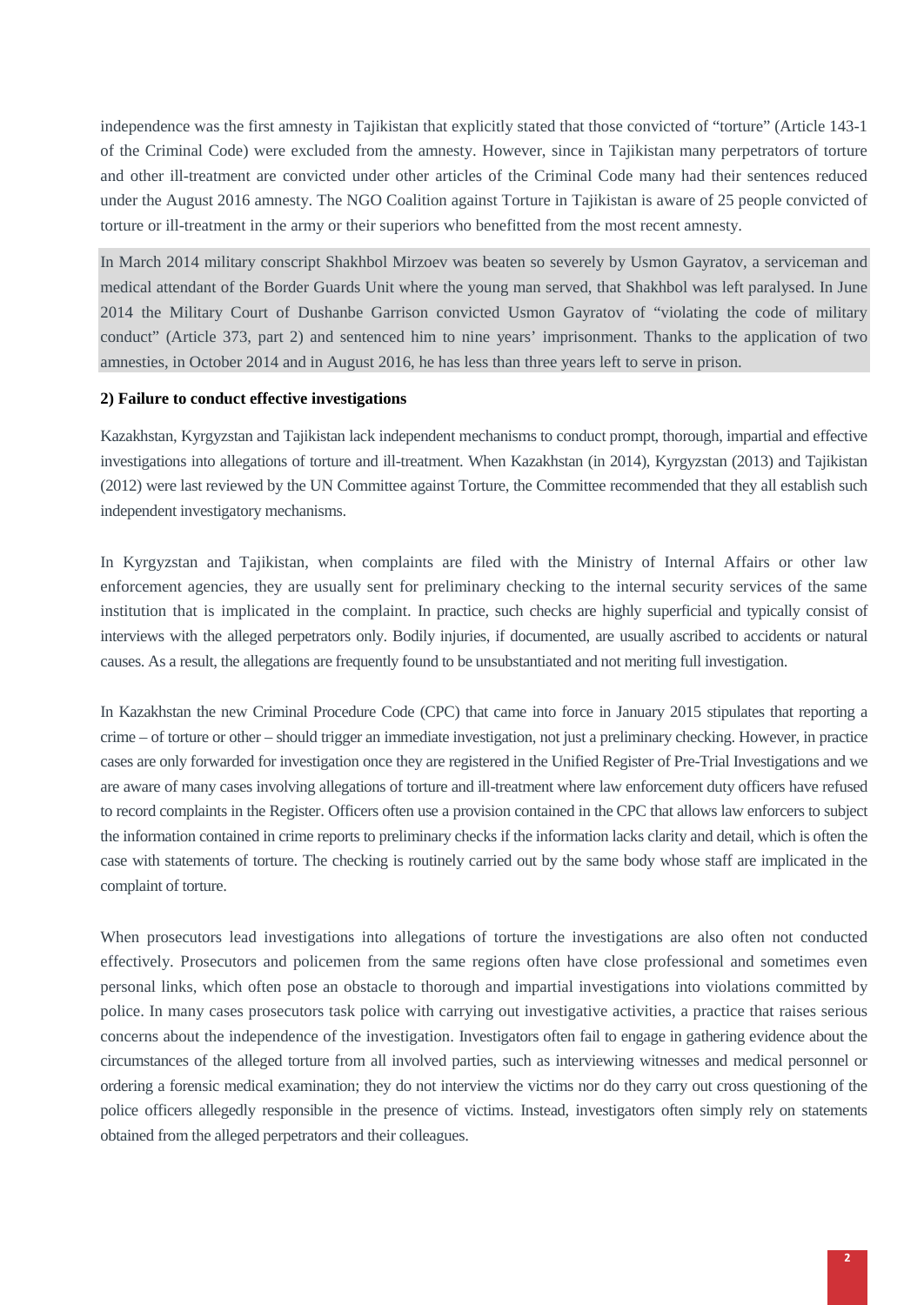independence was the first amnesty in Tajikistan that explicitly stated that those convicted of "torture" (Article 143-1 of the Criminal Code) were excluded from the amnesty. However, since in Tajikistan many perpetrators of torture and other ill-treatment are convicted under other articles of the Criminal Code many had their sentences reduced under the August 2016 amnesty. The NGO Coalition against Torture in Tajikistan is aware of 25 people convicted of torture or ill-treatment in the army or their superiors who benefitted from the most recent amnesty.

In March 2014 military conscript Shakhbol Mirzoev was beaten so severely by Usmon Gayratov, a serviceman and medical attendant of the Border Guards Unit where the young man served, that Shakhbol was left paralysed. In June 2014 the Military Court of Dushanbe Garrison convicted Usmon Gayratov of "violating the code of military conduct" (Article 373, part 2) and sentenced him to nine years' imprisonment. Thanks to the application of two amnesties, in October 2014 and in August 2016, he has less than three years left to serve in prison.

#### **2) Failure to conduct effective investigations**

Kazakhstan, Kyrgyzstan and Tajikistan lack independent mechanisms to conduct prompt, thorough, impartial and effective investigations into allegations of torture and ill-treatment. When Kazakhstan (in 2014), Kyrgyzstan (2013) and Tajikistan (2012) were last reviewed by the UN Committee against Torture, the Committee recommended that they all establish such independent investigatory mechanisms.

In Kyrgyzstan and Tajikistan, when complaints are filed with the Ministry of Internal Affairs or other law enforcement agencies, they are usually sent for preliminary checking to the internal security services of the same institution that is implicated in the complaint. In practice, such checks are highly superficial and typically consist of interviews with the alleged perpetrators only. Bodily injuries, if documented, are usually ascribed to accidents or natural causes. As a result, the allegations are frequently found to be unsubstantiated and not meriting full investigation.

In Kazakhstan the new Criminal Procedure Code (CPC) that came into force in January 2015 stipulates that reporting a crime – of torture or other – should trigger an immediate investigation, not just a preliminary checking. However, in practice cases are only forwarded for investigation once they are registered in the Unified Register of Pre-Trial Investigations and we are aware of many cases involving allegations of torture and ill-treatment where law enforcement duty officers have refused to record complaints in the Register. Officers often use a provision contained in the CPC that allows law enforcers to subject the information contained in crime reports to preliminary checks if the information lacks clarity and detail, which is often the case with statements of torture. The checking is routinely carried out by the same body whose staff are implicated in the complaint of torture.

When prosecutors lead investigations into allegations of torture the investigations are also often not conducted effectively. Prosecutors and policemen from the same regions often have close professional and sometimes even personal links, which often pose an obstacle to thorough and impartial investigations into violations committed by police. In many cases prosecutors task police with carrying out investigative activities, a practice that raises serious concerns about the independence of the investigation. Investigators often fail to engage in gathering evidence about the circumstances of the alleged torture from all involved parties, such as interviewing witnesses and medical personnel or ordering a forensic medical examination; they do not interview the victims nor do they carry out cross questioning of the police officers allegedly responsible in the presence of victims. Instead, investigators often simply rely on statements obtained from the alleged perpetrators and their colleagues.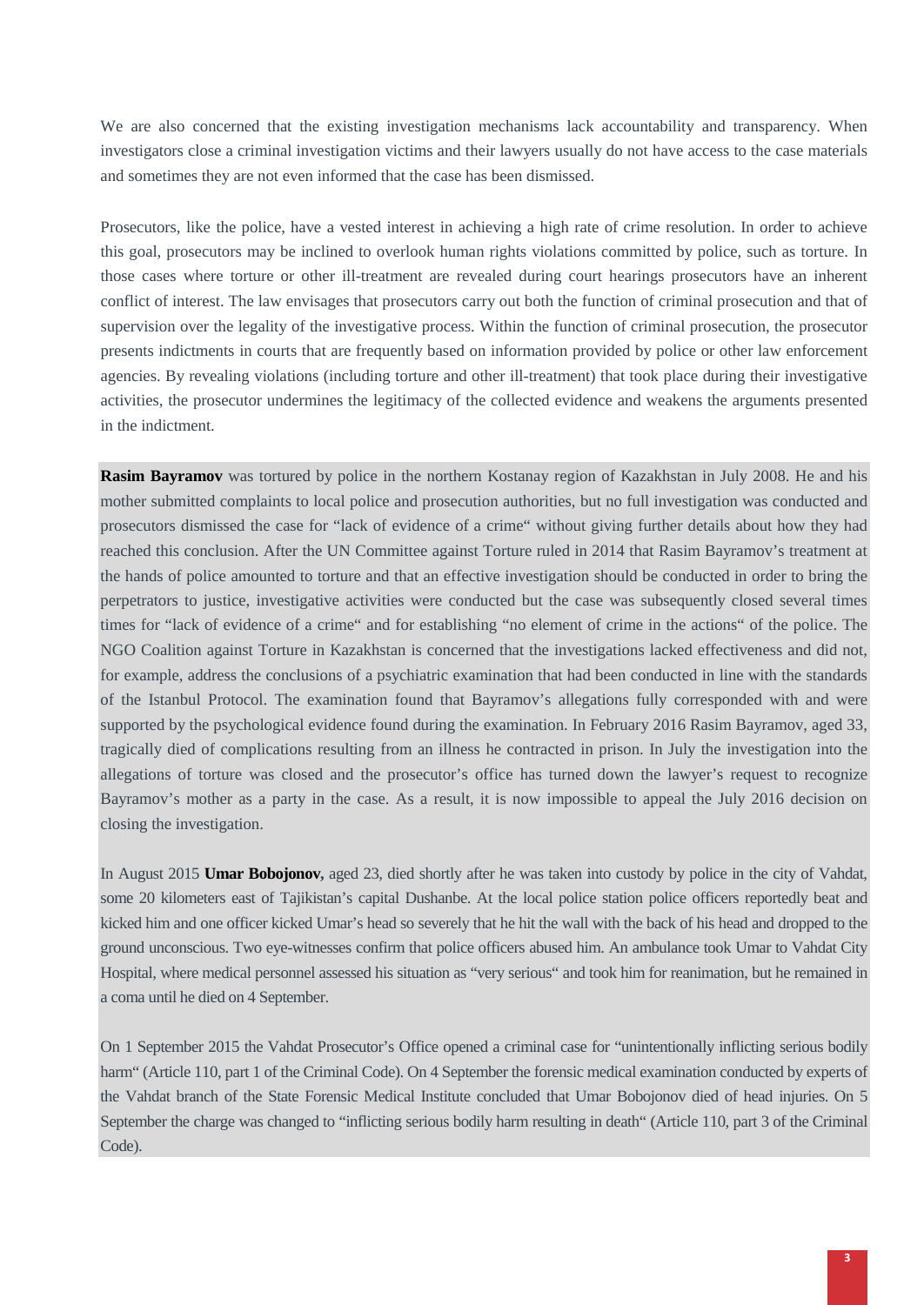We are also concerned that the existing investigation mechanisms lack accountability and transparency. When investigators close a criminal investigation victims and their lawyers usually do not have access to the case materials and sometimes they are not even informed that the case has been dismissed.

Prosecutors, like the police, have a vested interest in achieving a high rate of crime resolution. In order to achieve this goal, prosecutors may be inclined to overlook human rights violations committed by police, such as torture. In those cases where torture or other ill-treatment are revealed during court hearings prosecutors have an inherent conflict of interest. The law envisages that prosecutors carry out both the function of criminal prosecution and that of supervision over the legality of the investigative process. Within the function of criminal prosecution, the prosecutor presents indictments in courts that are frequently based on information provided by police or other law enforcement agencies. By revealing violations (including torture and other ill-treatment) that took place during their investigative activities, the prosecutor undermines the legitimacy of the collected evidence and weakens the arguments presented in the indictment.

**Rasim Bayramov** was tortured by police in the northern Kostanay region of Kazakhstan in July 2008. He and his mother submitted complaints to local police and prosecution authorities, but no full investigation was conducted and prosecutors dismissed the case for "lack of evidence of a crime" without giving further details about how they had reached this conclusion. After the UN Committee against Torture ruled in 2014 that Rasim Bayramov's treatment at the hands of police amounted to torture and that an effective investigation should be conducted in order to bring the perpetrators to justice, investigative activities were conducted but the case was subsequently closed several times times for "lack of evidence of a crime" and for establishing "no element of crime in the actions" of the police. The NGO Coalition against Torture in Kazakhstan is concerned that the investigations lacked effectiveness and did not, for example, address the conclusions of a psychiatric examination that had been conducted in line with the standards of the Istanbul Protocol. The examination found that Bayramov's allegations fully corresponded with and were supported by the psychological evidence found during the examination. In February 2016 Rasim Bayramov, aged 33, tragically died of complications resulting from an illness he contracted in prison. In July the investigation into the allegations of torture was closed and the prosecutor's office has turned down the lawyer's request to recognize Bayramov's mother as a party in the case. As a result, it is now impossible to appeal the July 2016 decision on closing the investigation.

In August 2015 **Umar Bobojonov,** aged 23, died shortly after he was taken into custody by police in the city of Vahdat, some 20 kilometers east of Tajikistan's capital Dushanbe. At the local police station police officers reportedly beat and kicked him and one officer kicked Umar's head so severely that he hit the wall with the back of his head and dropped to the ground unconscious. Two eye-witnesses confirm that police officers abused him. An ambulance took Umar to Vahdat City Hospital, where medical personnel assessed his situation as "very serious" and took him for reanimation, but he remained in a coma until he died on 4 September.

On 1 September 2015 the Vahdat Prosecutor's Office opened a criminal case for "unintentionally inflicting serious bodily harm" (Article 110, part 1 of the Criminal Code). On 4 September the forensic medical examination conducted by experts of the Vahdat branch of the State Forensic Medical Institute concluded that Umar Bobojonov died of head injuries. On 5 September the charge was changed to "inflicting serious bodily harm resulting in death" (Article 110, part 3 of the Criminal Code).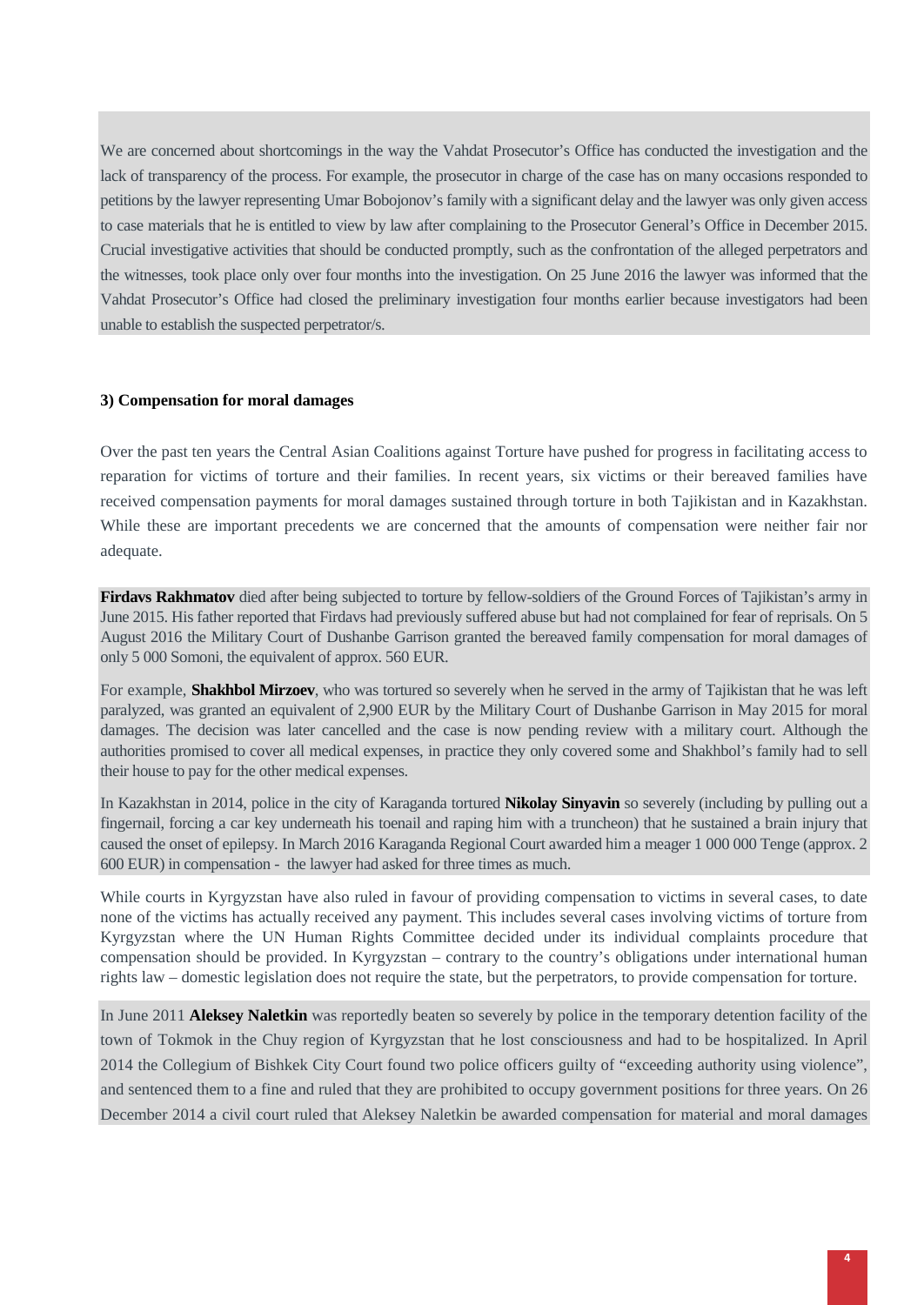We are concerned about shortcomings in the way the Vahdat Prosecutor's Office has conducted the investigation and the lack of transparency of the process. For example, the prosecutor in charge of the case has on many occasions responded to petitions by the lawyer representing Umar Bobojonov's family with a significant delay and the lawyer was only given access to case materials that he is entitled to view by law after complaining to the Prosecutor General's Office in December 2015. Crucial investigative activities that should be conducted promptly, such as the confrontation of the alleged perpetrators and the witnesses, took place only over four months into the investigation. On 25 June 2016 the lawyer was informed that the Vahdat Prosecutor's Office had closed the preliminary investigation four months earlier because investigators had been unable to establish the suspected perpetrator/s.

#### **3) Compensation for moral damages**

Over the past ten years the Central Asian Coalitions against Torture have pushed for progress in facilitating access to reparation for victims of torture and their families. In recent years, six victims or their bereaved families have received compensation payments for moral damages sustained through torture in both Tajikistan and in Kazakhstan. While these are important precedents we are concerned that the amounts of compensation were neither fair nor adequate.

**Firdavs Rakhmatov** died after being subjected to torture by fellow-soldiers of the Ground Forces of Tajikistan's army in June 2015. His father reported that Firdavs had previously suffered abuse but had not complained for fear of reprisals. On 5 August 2016 the Military Court of Dushanbe Garrison granted the bereaved family compensation for moral damages of only 5 000 Somoni, the equivalent of approx. 560 EUR.

For example, **Shakhbol Mirzoev**, who was tortured so severely when he served in the army of Tajikistan that he was left paralyzed, was granted an equivalent of 2,900 EUR by the Military Court of Dushanbe Garrison in May 2015 for moral damages. The decision was later cancelled and the case is now pending review with a military court. Although the authorities promised to cover all medical expenses, in practice they only covered some and Shakhbol's family had to sell their house to pay for the other medical expenses.

In Kazakhstan in 2014, police in the city of Karaganda tortured **Nikolay Sinyavin** so severely (including by pulling out a fingernail, forcing a car key underneath his toenail and raping him with a truncheon) that he sustained a brain injury that caused the onset of epilepsy. In March 2016 Karaganda Regional Court awarded him a meager 1 000 000 Tenge (approx. 2 600 EUR) in compensation - the lawyer had asked for three times as much.

While courts in Kyrgyzstan have also ruled in favour of providing compensation to victims in several cases, to date none of the victims has actually received any payment. This includes several cases involving victims of torture from Kyrgyzstan where the UN Human Rights Committee decided under its individual complaints procedure that compensation should be provided. In Kyrgyzstan – contrary to the country's obligations under international human rights law – domestic legislation does not require the state, but the perpetrators, to provide compensation for torture.

In June 2011 **Aleksey Naletkin** was reportedly beaten so severely by police in the temporary detention facility of the town of Tokmok in the Chuy region of Kyrgyzstan that he lost consciousness and had to be hospitalized. In April 2014 the Collegium of Bishkek City Court found two police officers guilty of "exceeding authority using violence", and sentenced them to a fine and ruled that they are prohibited to occupy government positions for three years. On 26 December 2014 a civil court ruled that Aleksey Naletkin be awarded compensation for material and moral damages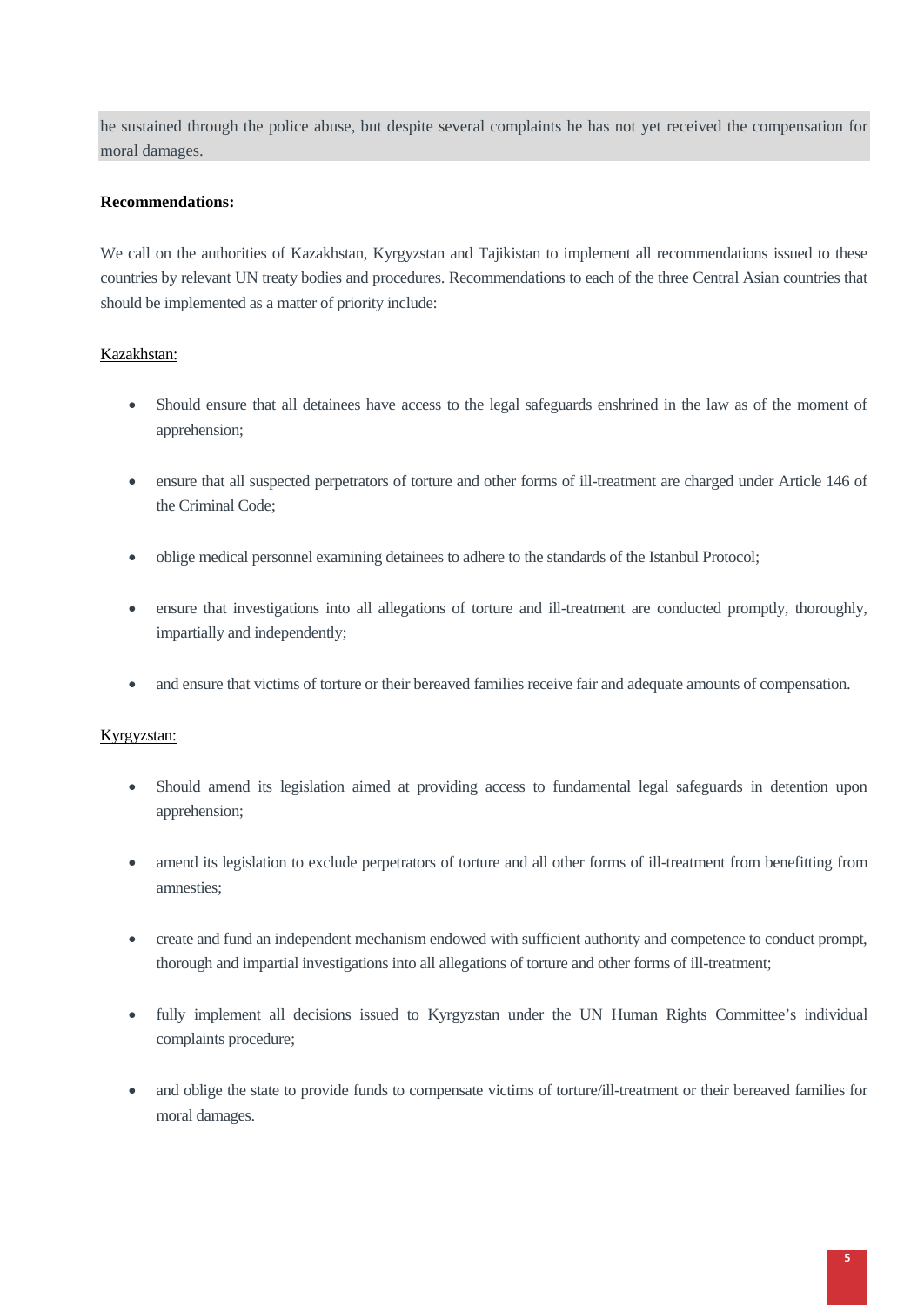he sustained through the police abuse, but despite several complaints he has not yet received the compensation for moral damages.

## **Recommendations:**

We call on the authorities of Kazakhstan, Kyrgyzstan and Tajikistan to implement all recommendations issued to these countries by relevant UN treaty bodies and procedures. Recommendations to each of the three Central Asian countries that should be implemented as a matter of priority include:

# Kazakhstan:

- Should ensure that all detainees have access to the legal safeguards enshrined in the law as of the moment of apprehension;
- ensure that all suspected perpetrators of torture and other forms of ill-treatment are charged under Article 146 of the Criminal Code;
- oblige medical personnel examining detainees to adhere to the standards of the Istanbul Protocol;
- ensure that investigations into all allegations of torture and ill-treatment are conducted promptly, thoroughly, impartially and independently;
- and ensure that victims of torture or their bereaved families receive fair and adequate amounts of compensation.

### Kyrgyzstan:

- Should amend its legislation aimed at providing access to fundamental legal safeguards in detention upon apprehension;
- amend its legislation to exclude perpetrators of torture and all other forms of ill-treatment from benefitting from amnesties;
- create and fund an independent mechanism endowed with sufficient authority and competence to conduct prompt, thorough and impartial investigations into all allegations of torture and other forms of ill-treatment;
- fully implement all decisions issued to Kyrgyzstan under the UN Human Rights Committee's individual complaints procedure;
- and oblige the state to provide funds to compensate victims of torture/ill-treatment or their bereaved families for moral damages.